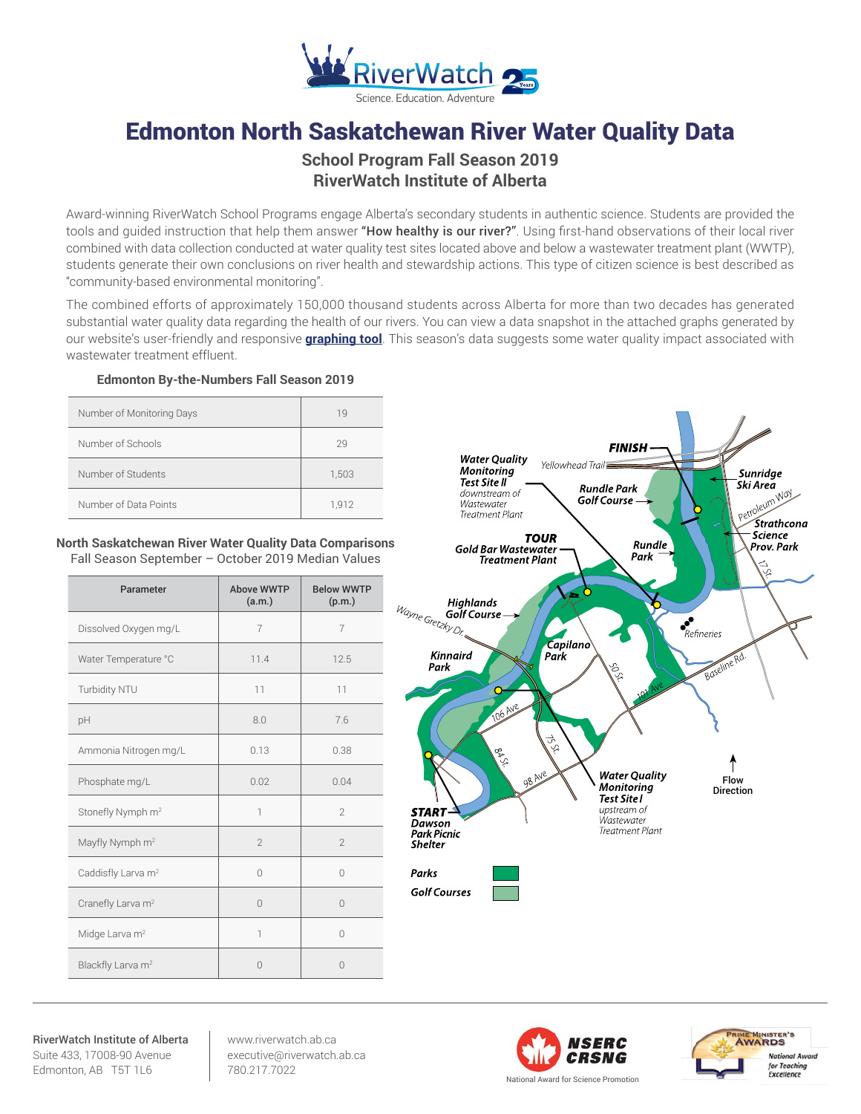

# Edmonton North Saskatchewan River Water Quality Data

# **School Program Fall Season 2019 RiverWatch Institute of Alberta**

Award-winning RiverWatch School Programs engage Alberta's secondary students in authentic science. Students are provided the tools and quided instruction that help them answer "How healthy is our river?". Using first-hand observations of their local river combined with data collection conducted at water quality test sites located above and below a wastewater treatment plant (WWTP), students generate their own conclusions on river health and stewardship actions. This type of citizen science is best described as "community-based environmental monitoring".

The combined efforts of approximately 150,000 thousand students across Alberta for more than two decades has generated substantial water quality data regarding the health of our rivers. You can view a data snapshot in the attached graphs generated by our website's user-friendly and responsive **[graphing tool](http://www.riverwatch.ab.ca/index.php/science/data)**. This season's data suggests some water quality impact associated with wastewater treatment effluent.

#### **Edmonton By-the-Numbers Fall Season 2019**

| Number of Monitoring Days | 19    |
|---------------------------|-------|
| Number of Schools         | 29    |
| Number of Students        | 1,503 |
| Number of Data Points     | 1.912 |

#### **North Saskatchewan River Water Quality Data Comparisons** Fall Season September – October 2019 Median Values

| Parameter                      | Above WWTP<br>(a.m.)     | <b>Below WWTP</b><br>(p.m.) |
|--------------------------------|--------------------------|-----------------------------|
| Dissolved Oxygen mg/L          | $\overline{7}$           | $\overline{7}$              |
| Water Temperature °C           | 11.4                     | 12.5                        |
| Turbidity NTU                  | 11                       | 11                          |
| pH                             | 8.0                      | 7.6                         |
| Ammonia Nitrogen mg/L          | 0.13                     | 0.38                        |
| Phosphate mg/L                 | 0.02                     | 0.04                        |
| Stonefly Nymph m <sup>2</sup>  | $\overline{\phantom{a}}$ | $\mathfrak{D}$              |
| Mayfly Nymph m <sup>2</sup>    | $\mathfrak{D}$           | $\mathfrak{D}$              |
| Caddisfly Larva m <sup>2</sup> | $\bigcap$                | $\Omega$                    |
| Cranefly Larva m <sup>2</sup>  | $\Omega$                 | $\Omega$                    |
| Midge Larva m <sup>2</sup>     | $\overline{\phantom{a}}$ | $\bigcap$                   |
| Blackfly Larva m <sup>2</sup>  | $\Omega$                 | $\bigcap$                   |



RiverWatch Institute of Alberta Suite 433, 17008-90 Avenue Edmonton, AB T5T 1L6

www.riverwatch.ab.ca executive@riverwatch.ab.ca 780.217.7022



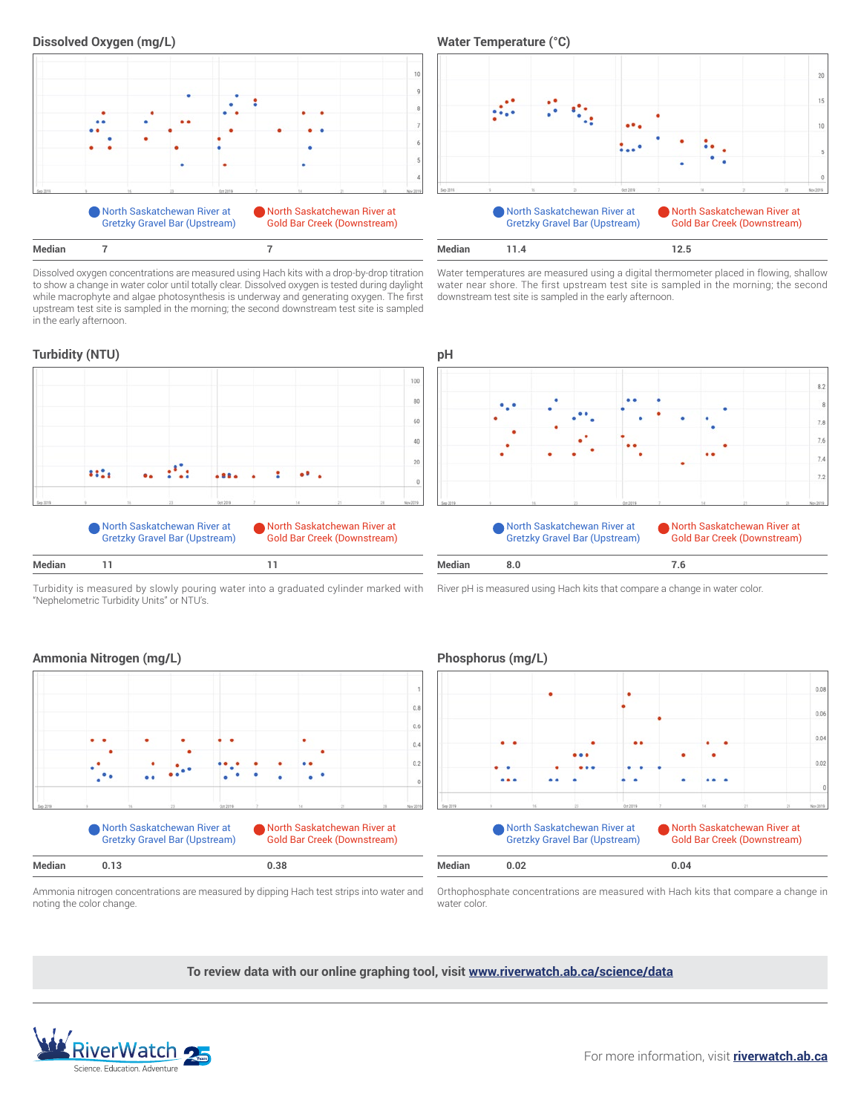

Dissolved oxygen concentrations are measured using Hach kits with a drop-by-drop titration to show a change in water color until totally clear. Dissolved oxygen is tested during daylight while macrophyte and algae photosynthesis is underway and generating oxygen. The first upstream test site is sampled in the morning; the second downstream test site is sampled in the early afternoon.

## **Turbidity (NTU) pH**

**Median 11**



Turbidity is measured by slowly pouring water into a graduated cylinder marked with "Nephelometric Turbidity Units" or NTU's.

 $15$ 10 North Saskatchewan River at North Saskatchewan River at Gretzky Gravel Bar (Upstream) Gold Bar Creek (Downstream) **12.5**

Water temperatures are measured using a digital thermometer placed in flowing, shallow water near shore. The first upstream test site is sampled in the morning; the second downstream test site is sampled in the early afternoon.



River pH is measured using Hach kits that compare a change in water color.

 $0.8$  $0.6$  $0.4$  $0.2$ North Saskatchewan River at North Saskatchewan River at Gretzky Gravel Bar (Upstream) Gold Bar Creek (Downstream)

### **Ammonia Nitrogen (mg/L) Phosphorus (mg/L)**



Ammonia nitrogen concentrations are measured by dipping Hach test strips into water and noting the color change.

Orthophosphate concentrations are measured with Hach kits that compare a change in water color.

**To review data with our online graphing tool, visit <www.riverwatch.ab.ca/science/data>**

**Median 0.13 0.38 Median 0.02 0.04**